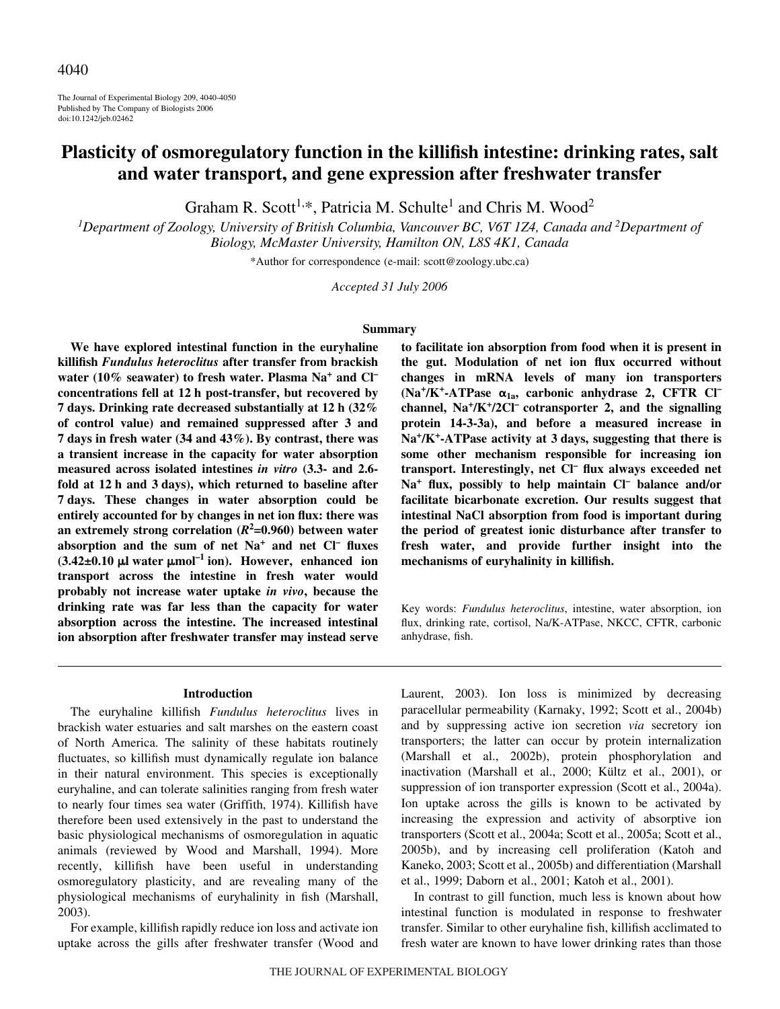The Journal of Experimental Biology 209, 4040-4050 Published by The Company of Biologists 2006 doi:10.1242/jeb.02462

# **Plasticity of osmoregulatory function in the killifish intestine: drinking rates, salt and water transport, and gene expression after freshwater transfer**

Graham R. Scott<sup>1,\*</sup>, Patricia M. Schulte<sup>1</sup> and Chris M. Wood<sup>2</sup>

<sup>1</sup>Department of Zoology, University of British Columbia, Vancouver BC, V6T 1Z4, Canada and <sup>2</sup>Department of *Biology, McMaster University, Hamilton ON, L8S 4K1, Canada*

\*Author for correspondence (e-mail: scott@zoology.ubc.ca)

*Accepted 31 July 2006*

# **Summary**

**We have explored intestinal function in the euryhaline killifish** *Fundulus heteroclitus* **after transfer from brackish water (10% seawater) to fresh water. Plasma Na<sup>+</sup> and Cl–** concentrations fell at 12 h post-transfer, but recovered by **7·days. Drinking rate decreased substantially at 12·h (32% of control value) and remained suppressed after 3 and 7·days in fresh water (34 and 43%). By contrast, there was a transient increase in the capacity for water absorption measured across isolated intestines** *in vitro* **(3.3- and 2.6** fold at 12 h and 3 days), which returned to baseline after **7·days. These changes in water absorption could be entirely accounted for by changes in net ion flux: there was an extremely strong correlation (***R***<sup>2</sup> =0.960) between water absorption and the sum of net Na<sup>+</sup> and net Cl– fluxes**  $(3.42 \pm 0.10 \,\mu\text{J} \text{ water } \mu\text{mol}^{-1} \text{ ion})$ . However, enhanced ion **transport across the intestine in fresh water would probably not increase water uptake** *in vivo***, because the drinking rate was far less than the capacity for water absorption across the intestine. The increased intestinal ion absorption after freshwater transfer may instead serve**

#### **Introduction**

The euryhaline killifish *Fundulus heteroclitus* lives in brackish water estuaries and salt marshes on the eastern coast of North America. The salinity of these habitats routinely fluctuates, so killifish must dynamically regulate ion balance in their natural environment. This species is exceptionally euryhaline, and can tolerate salinities ranging from fresh water to nearly four times sea water (Griffith, 1974). Killifish have therefore been used extensively in the past to understand the basic physiological mechanisms of osmoregulation in aquatic animals (reviewed by Wood and Marshall, 1994). More recently, killifish have been useful in understanding osmoregulatory plasticity, and are revealing many of the physiological mechanisms of euryhalinity in fish (Marshall, 2003).

For example, killifish rapidly reduce ion loss and activate ion uptake across the gills after freshwater transfer (Wood and **to facilitate ion absorption from food when it is present in the gut. Modulation of net ion flux occurred without changes in mRNA levels of many ion transporters**  $(Na^+ / K^+ - ATPase \alpha_{1a}$ , carbonic anhydrase 2, CFTR Cl<sup>-</sup> **channel, Na+/K+/2Cl– cotransporter 2, and the signalling protein 14-3-3a), and before a measured increase in** Na<sup>+</sup>/K<sup>+</sup>-ATPase activity at 3 days, suggesting that there is **some other mechanism responsible for increasing ion transport. Interestingly, net Cl– flux always exceeded net Na+ flux, possibly to help maintain Cl– balance and/or facilitate bicarbonate excretion. Our results suggest that intestinal NaCl absorption from food is important during the period of greatest ionic disturbance after transfer to fresh water, and provide further insight into the mechanisms of euryhalinity in killifish.**

Key words: *Fundulus heteroclitus*, intestine, water absorption, ion flux, drinking rate, cortisol, Na/K-ATPase, NKCC, CFTR, carbonic anhydrase, fish.

Laurent, 2003). Ion loss is minimized by decreasing paracellular permeability (Karnaky, 1992; Scott et al., 2004b) and by suppressing active ion secretion *via* secretory ion transporters; the latter can occur by protein internalization (Marshall et al., 2002b), protein phosphorylation and inactivation (Marshall et al., 2000; Kültz et al., 2001), or suppression of ion transporter expression (Scott et al., 2004a). Ion uptake across the gills is known to be activated by increasing the expression and activity of absorptive ion transporters (Scott et al., 2004a; Scott et al., 2005a; Scott et al., 2005b), and by increasing cell proliferation (Katoh and Kaneko, 2003; Scott et al., 2005b) and differentiation (Marshall et al., 1999; Daborn et al., 2001; Katoh et al., 2001).

In contrast to gill function, much less is known about how intestinal function is modulated in response to freshwater transfer. Similar to other euryhaline fish, killifish acclimated to fresh water are known to have lower drinking rates than those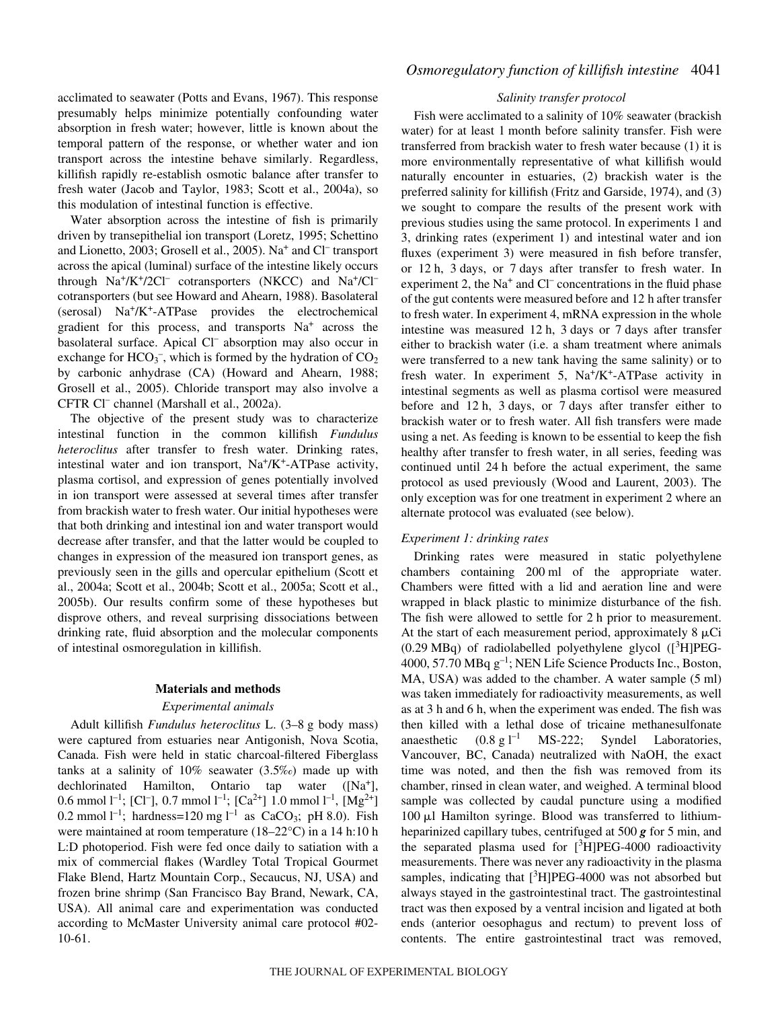acclimated to seawater (Potts and Evans, 1967). This response presumably helps minimize potentially confounding water absorption in fresh water; however, little is known about the temporal pattern of the response, or whether water and ion transport across the intestine behave similarly. Regardless, killifish rapidly re-establish osmotic balance after transfer to fresh water (Jacob and Taylor, 1983; Scott et al., 2004a), so this modulation of intestinal function is effective.

Water absorption across the intestine of fish is primarily driven by transepithelial ion transport (Loretz, 1995; Schettino and Lionetto, 2003; Grosell et al., 2005). Na<sup>+</sup> and Cl– transport across the apical (luminal) surface of the intestine likely occurs through  $Na^+/K^+/2Cl^-$  cotransporters (NKCC) and  $Na^+/Cl^$ cotransporters (but see Howard and Ahearn, 1988). Basolateral  $(serosal)$  Na<sup>+</sup>/K<sup>+</sup>-ATPase provides the electrochemical gradient for this process, and transports  $Na<sup>+</sup>$  across the basolateral surface. Apical Cl<sup>-</sup> absorption may also occur in exchange for  $HCO_3^-$ , which is formed by the hydration of  $CO_2$ by carbonic anhydrase (CA) (Howard and Ahearn, 1988; Grosell et al., 2005). Chloride transport may also involve a CFTR Cl– channel (Marshall et al., 2002a).

The objective of the present study was to characterize intestinal function in the common killifish *Fundulus heteroclitus* after transfer to fresh water. Drinking rates, intestinal water and ion transport,  $Na^+/K^+$ -ATPase activity, plasma cortisol, and expression of genes potentially involved in ion transport were assessed at several times after transfer from brackish water to fresh water. Our initial hypotheses were that both drinking and intestinal ion and water transport would decrease after transfer, and that the latter would be coupled to changes in expression of the measured ion transport genes, as previously seen in the gills and opercular epithelium (Scott et al., 2004a; Scott et al., 2004b; Scott et al., 2005a; Scott et al., 2005b). Our results confirm some of these hypotheses but disprove others, and reveal surprising dissociations between drinking rate, fluid absorption and the molecular components of intestinal osmoregulation in killifish.

#### **Materials and methods**

### *Experimental animals*

Adult killifish *Fundulus heteroclitus* L. (3–8·g body mass) were captured from estuaries near Antigonish, Nova Scotia, Canada. Fish were held in static charcoal-filtered Fiberglass tanks at a salinity of 10% seawater (3.5‰) made up with dechlorinated Hamilton, Ontario tap water ([Na+], 0.6 mmol l<sup>-1</sup>; [Cl<sup>-</sup>], 0.7 mmol l<sup>-1</sup>; [Ca<sup>2+</sup>] 1.0 mmol l<sup>-1</sup>, [Mg<sup>2+</sup>] 0.2 mmol  $l^{-1}$ ; hardness=120 mg  $l^{-1}$  as CaCO<sub>3</sub>; pH 8.0). Fish were maintained at room temperature ( $18-22^{\circ}$ C) in a 14 h:10 h L:D photoperiod. Fish were fed once daily to satiation with a mix of commercial flakes (Wardley Total Tropical Gourmet Flake Blend, Hartz Mountain Corp., Secaucus, NJ, USA) and frozen brine shrimp (San Francisco Bay Brand, Newark, CA, USA). All animal care and experimentation was conducted according to McMaster University animal care protocol #02- 10-61.

### *Salinity transfer protocol*

Fish were acclimated to a salinity of 10% seawater (brackish water) for at least 1 month before salinity transfer. Fish were transferred from brackish water to fresh water because (1) it is more environmentally representative of what killifish would naturally encounter in estuaries, (2) brackish water is the preferred salinity for killifish (Fritz and Garside, 1974), and (3) we sought to compare the results of the present work with previous studies using the same protocol. In experiments 1 and 3, drinking rates (experiment 1) and intestinal water and ion fluxes (experiment 3) were measured in fish before transfer, or 12 h, 3 days, or 7 days after transfer to fresh water. In experiment 2, the  $Na<sup>+</sup>$  and  $Cl<sup>-</sup>$  concentrations in the fluid phase of the gut contents were measured before and 12 h after transfer to fresh water. In experiment 4, mRNA expression in the whole intestine was measured  $12 h$ , 3 days or 7 days after transfer either to brackish water (i.e. a sham treatment where animals were transferred to a new tank having the same salinity) or to fresh water. In experiment 5,  $Na^+/K^+$ -ATPase activity in intestinal segments as well as plasma cortisol were measured before and 12 h, 3 days, or 7 days after transfer either to brackish water or to fresh water. All fish transfers were made using a net. As feeding is known to be essential to keep the fish healthy after transfer to fresh water, in all series, feeding was continued until 24 h before the actual experiment, the same protocol as used previously (Wood and Laurent, 2003). The only exception was for one treatment in experiment 2 where an alternate protocol was evaluated (see below).

### *Experiment 1: drinking rates*

Drinking rates were measured in static polyethylene chambers containing 200 ml of the appropriate water. Chambers were fitted with a lid and aeration line and were wrapped in black plastic to minimize disturbance of the fish. The fish were allowed to settle for 2 h prior to measurement. At the start of each measurement period, approximately  $8 \mu$ Ci  $(0.29 \text{ MBq})$  of radiolabelled polyethylene glycol  $([^{3}H] P E G -$ 4000, 57.70 MBq  $g^{-1}$ ; NEN Life Science Products Inc., Boston, MA, USA) was added to the chamber. A water sample (5 ml) was taken immediately for radioactivity measurements, as well as at 3 h and 6 h, when the experiment was ended. The fish was then killed with a lethal dose of tricaine methanesulfonate anaesthetic  $(0.8 \text{ g l}^{-1} \text{ MS-222};$ Syndel Laboratories, Vancouver, BC, Canada) neutralized with NaOH, the exact time was noted, and then the fish was removed from its chamber, rinsed in clean water, and weighed. A terminal blood sample was collected by caudal puncture using a modified  $100 \mu l$  Hamilton syringe. Blood was transferred to lithiumheparinized capillary tubes, centrifuged at  $500\,\text{g}$  for 5 min, and the separated plasma used for  $[3H] P E G - 4000$  radioactivity measurements. There was never any radioactivity in the plasma samples, indicating that [<sup>3</sup>H]PEG-4000 was not absorbed but always stayed in the gastrointestinal tract. The gastrointestinal tract was then exposed by a ventral incision and ligated at both ends (anterior oesophagus and rectum) to prevent loss of contents. The entire gastrointestinal tract was removed,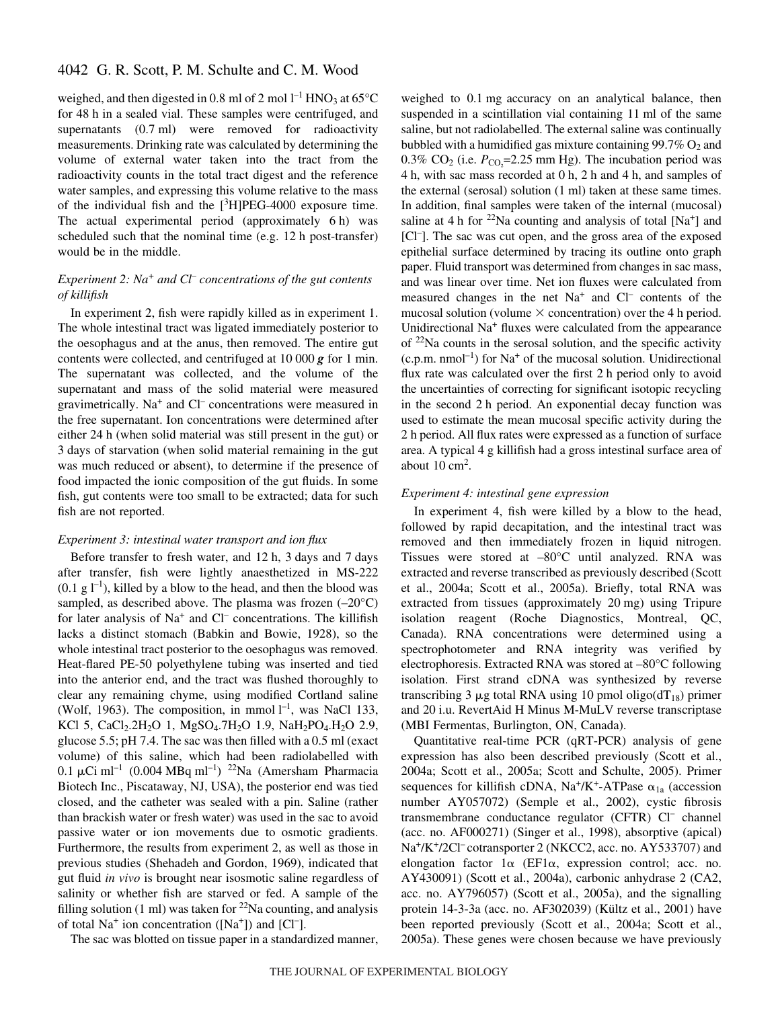weighed, and then digested in 0.8 ml of 2 mol  $l^{-1}$  HNO<sub>3</sub> at 65°C for 48 h in a sealed vial. These samples were centrifuged, and supernatants  $(0.7 \text{ ml})$  were removed for radioactivity measurements. Drinking rate was calculated by determining the volume of external water taken into the tract from the radioactivity counts in the total tract digest and the reference water samples, and expressing this volume relative to the mass of the individual fish and the  $[3H] P E G - 4000$  exposure time. The actual experimental period (approximately  $6 \text{ h}$ ) was scheduled such that the nominal time (e.g. 12 h post-transfer) would be in the middle.

# *Experiment 2: Na<sup>+</sup> and Cl– concentrations of the gut contents of killifish*

In experiment 2, fish were rapidly killed as in experiment 1. The whole intestinal tract was ligated immediately posterior to the oesophagus and at the anus, then removed. The entire gut contents were collected, and centrifuged at  $10\,000\,\text{g}$  for 1 min. The supernatant was collected, and the volume of the supernatant and mass of the solid material were measured gravimetrically. Na<sup>+</sup> and Cl– concentrations were measured in the free supernatant. Ion concentrations were determined after either 24 h (when solid material was still present in the gut) or 3 days of starvation (when solid material remaining in the gut was much reduced or absent), to determine if the presence of food impacted the ionic composition of the gut fluids. In some fish, gut contents were too small to be extracted; data for such fish are not reported.

# *Experiment 3: intestinal water transport and ion flux*

Before transfer to fresh water, and 12 h, 3 days and 7 days after transfer, fish were lightly anaesthetized in MS-222  $(0.1 \text{ g } l^{-1})$ , killed by a blow to the head, and then the blood was sampled, as described above. The plasma was frozen (–20°C) for later analysis of  $Na<sup>+</sup>$  and  $Cl<sup>-</sup>$  concentrations. The killifish lacks a distinct stomach (Babkin and Bowie, 1928), so the whole intestinal tract posterior to the oesophagus was removed. Heat-flared PE-50 polyethylene tubing was inserted and tied into the anterior end, and the tract was flushed thoroughly to clear any remaining chyme, using modified Cortland saline (Wolf, 1963). The composition, in mmol  $l^{-1}$ , was NaCl 133, KCl 5, CaCl<sub>2</sub>.2H<sub>2</sub>O 1, MgSO<sub>4</sub>.7H<sub>2</sub>O 1.9, NaH<sub>2</sub>PO<sub>4</sub>.H<sub>2</sub>O 2.9, glucose 5.5; pH 7.4. The sac was then filled with a 0.5 ml (exact volume) of this saline, which had been radiolabelled with  $0.1 \mu$ Ci ml<sup>-1</sup> (0.004 MBq ml<sup>-1</sup>) <sup>22</sup>Na (Amersham Pharmacia Biotech Inc., Piscataway, NJ, USA), the posterior end was tied closed, and the catheter was sealed with a pin. Saline (rather than brackish water or fresh water) was used in the sac to avoid passive water or ion movements due to osmotic gradients. Furthermore, the results from experiment 2, as well as those in previous studies (Shehadeh and Gordon, 1969), indicated that gut fluid *in vivo* is brought near isosmotic saline regardless of salinity or whether fish are starved or fed. A sample of the filling solution (1 ml) was taken for  $22$ Na counting, and analysis of total  $Na<sup>+</sup>$  ion concentration ([Na<sup>+</sup>]) and [Cl<sup>-</sup>].

The sac was blotted on tissue paper in a standardized manner,

weighed to 0.1 mg accuracy on an analytical balance, then suspended in a scintillation vial containing 11 ml of the same saline, but not radiolabelled. The external saline was continually bubbled with a humidified gas mixture containing  $99.7\%$  O<sub>2</sub> and 0.3% CO<sub>2</sub> (i.e.  $P_{CO_2}$ =2.25 mm Hg). The incubation period was  $4h$ , with sac mass recorded at 0 $h$ , 2 $h$  and  $4h$ , and samples of the external (serosal) solution  $(1 \text{ ml})$  taken at these same times. In addition, final samples were taken of the internal (mucosal) saline at 4 h for  $^{22}$ Na counting and analysis of total [Na<sup>+</sup>] and [Cl<sup>-</sup>]. The sac was cut open, and the gross area of the exposed epithelial surface determined by tracing its outline onto graph paper. Fluid transport was determined from changes in sac mass, and was linear over time. Net ion fluxes were calculated from measured changes in the net  $Na<sup>+</sup>$  and  $Cl<sup>-</sup>$  contents of the mucosal solution (volume  $\times$  concentration) over the 4 h period. Unidirectional Na<sup>+</sup> fluxes were calculated from the appearance of  $22$ Na counts in the serosal solution, and the specific activity  $(c.p.m. nmol<sup>-1</sup>)$  for Na<sup>+</sup> of the mucosal solution. Unidirectional flux rate was calculated over the first 2 h period only to avoid the uncertainties of correcting for significant isotopic recycling in the second 2 h period. An exponential decay function was used to estimate the mean mucosal specific activity during the 2 h period. All flux rates were expressed as a function of surface area. A typical 4 g killifish had a gross intestinal surface area of about  $10 \text{ cm}^2$ .

## *Experiment 4: intestinal gene expression*

In experiment 4, fish were killed by a blow to the head, followed by rapid decapitation, and the intestinal tract was removed and then immediately frozen in liquid nitrogen. Tissues were stored at –80°C until analyzed. RNA was extracted and reverse transcribed as previously described (Scott et al., 2004a; Scott et al., 2005a). Briefly, total RNA was extracted from tissues (approximately 20 mg) using Tripure isolation reagent (Roche Diagnostics, Montreal, QC, Canada). RNA concentrations were determined using a spectrophotometer and RNA integrity was verified by electrophoresis. Extracted RNA was stored at –80°C following isolation. First strand cDNA was synthesized by reverse transcribing 3  $\mu$ g total RNA using 10 pmol oligo(dT<sub>18</sub>) primer and 20 i.u. RevertAid H Minus M-MuLV reverse transcriptase (MBI Fermentas, Burlington, ON, Canada).

Quantitative real-time PCR (qRT-PCR) analysis of gene expression has also been described previously (Scott et al., 2004a; Scott et al., 2005a; Scott and Schulte, 2005). Primer sequences for killifish cDNA,  $Na^+/K^+$ -ATPase  $\alpha_{1a}$  (accession number AY057072) (Semple et al., 2002), cystic fibrosis transmembrane conductance regulator (CFTR) Cl– channel (acc. no. AF000271) (Singer et al., 1998), absorptive (apical) Na<sup>+</sup>/K<sup>+</sup>/2Cl<sup>–</sup> cotransporter 2 (NKCC2, acc. no. AY533707) and elongation factor  $1\alpha$  (EF1 $\alpha$ , expression control; acc. no. AY430091) (Scott et al., 2004a), carbonic anhydrase 2 (CA2, acc. no. AY796057) (Scott et al., 2005a), and the signalling protein 14-3-3a (acc. no. AF302039) (Kültz et al., 2001) have been reported previously (Scott et al., 2004a; Scott et al., 2005a). These genes were chosen because we have previously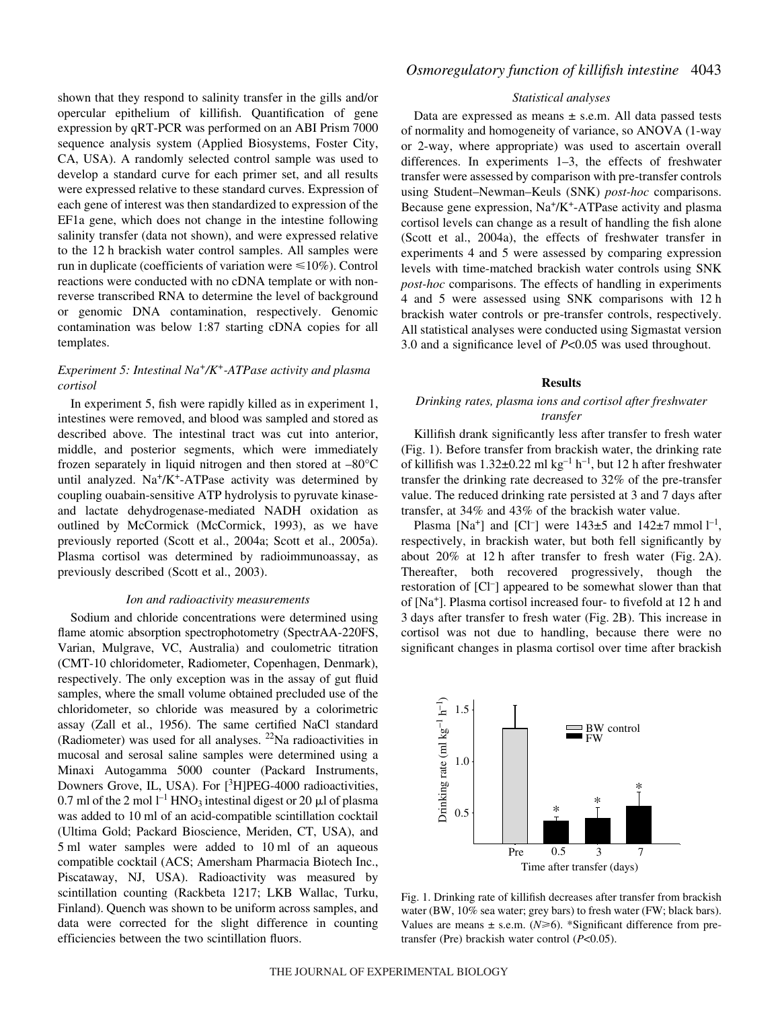shown that they respond to salinity transfer in the gills and/or opercular epithelium of killifish. Quantification of gene expression by qRT-PCR was performed on an ABI Prism 7000 sequence analysis system (Applied Biosystems, Foster City, CA, USA). A randomly selected control sample was used to develop a standard curve for each primer set, and all results were expressed relative to these standard curves. Expression of each gene of interest was then standardized to expression of the EF1a gene, which does not change in the intestine following salinity transfer (data not shown), and were expressed relative to the 12 h brackish water control samples. All samples were run in duplicate (coefficients of variation were  $\leq 10\%$ ). Control reactions were conducted with no cDNA template or with nonreverse transcribed RNA to determine the level of background or genomic DNA contamination, respectively. Genomic contamination was below 1:87 starting cDNA copies for all templates.

## *Experiment 5: Intestinal Na+/K+-ATPase activity and plasma cortisol*

In experiment 5, fish were rapidly killed as in experiment 1, intestines were removed, and blood was sampled and stored as described above. The intestinal tract was cut into anterior, middle, and posterior segments, which were immediately frozen separately in liquid nitrogen and then stored at –80°C until analyzed.  $Na^+/K^+$ -ATPase activity was determined by coupling ouabain-sensitive ATP hydrolysis to pyruvate kinaseand lactate dehydrogenase-mediated NADH oxidation as outlined by McCormick (McCormick, 1993), as we have previously reported (Scott et al., 2004a; Scott et al., 2005a). Plasma cortisol was determined by radioimmunoassay, as previously described (Scott et al., 2003).

#### *Ion and radioactivity measurements*

Sodium and chloride concentrations were determined using flame atomic absorption spectrophotometry (SpectrAA-220FS, Varian, Mulgrave, VC, Australia) and coulometric titration (CMT-10 chloridometer, Radiometer, Copenhagen, Denmark), respectively. The only exception was in the assay of gut fluid samples, where the small volume obtained precluded use of the chloridometer, so chloride was measured by a colorimetric assay (Zall et al., 1956). The same certified NaCl standard (Radiometer) was used for all analyses.  $^{22}$ Na radioactivities in mucosal and serosal saline samples were determined using a Minaxi Autogamma 5000 counter (Packard Instruments, Downers Grove, IL, USA). For [<sup>3</sup>H]PEG-4000 radioactivities, 0.7 ml of the 2 mol  $l^{-1}$  HNO<sub>3</sub> intestinal digest or 20  $\mu$ l of plasma was added to 10 ml of an acid-compatible scintillation cocktail (Ultima Gold; Packard Bioscience, Meriden, CT, USA), and 5 ml water samples were added to 10 ml of an aqueous compatible cocktail (ACS; Amersham Pharmacia Biotech Inc., Piscataway, NJ, USA). Radioactivity was measured by scintillation counting (Rackbeta 1217; LKB Wallac, Turku, Finland). Quench was shown to be uniform across samples, and data were corrected for the slight difference in counting efficiencies between the two scintillation fluors.

### *Statistical analyses*

Data are expressed as means ± s.e.m. All data passed tests of normality and homogeneity of variance, so ANOVA (1-way or 2-way, where appropriate) was used to ascertain overall differences. In experiments 1–3, the effects of freshwater transfer were assessed by comparison with pre-transfer controls using Student–Newman–Keuls (SNK) *post-hoc* comparisons. Because gene expression,  $Na^+/K^+$ -ATPase activity and plasma cortisol levels can change as a result of handling the fish alone (Scott et al., 2004a), the effects of freshwater transfer in experiments 4 and 5 were assessed by comparing expression levels with time-matched brackish water controls using SNK *post-hoc* comparisons. The effects of handling in experiments 4 and 5 were assessed using SNK comparisons with 12·h brackish water controls or pre-transfer controls, respectively. All statistical analyses were conducted using Sigmastat version 3.0 and a significance level of *P*<0.05 was used throughout.

#### **Results**

### *Drinking rates, plasma ions and cortisol after freshwater transfer*

Killifish drank significantly less after transfer to fresh water (Fig. 1). Before transfer from brackish water, the drinking rate of killifish was  $1.32\pm0.22$  ml kg<sup>-1</sup> h<sup>-1</sup>, but 12 h after freshwater transfer the drinking rate decreased to 32% of the pre-transfer value. The reduced drinking rate persisted at 3 and 7 days after transfer, at 34% and 43% of the brackish water value.

Plasma [Na<sup>+</sup>] and [Cl<sup>-</sup>] were  $143\pm5$  and  $142\pm7$  mmol  $l^{-1}$ , respectively, in brackish water, but both fell significantly by about  $20\%$  at 12 h after transfer to fresh water (Fig. 2A). Thereafter, both recovered progressively, though the restoration of [Cl– ] appeared to be somewhat slower than that of  $[Na^+]$ . Plasma cortisol increased four- to fivefold at 12 h and 3 days after transfer to fresh water (Fig. 2B). This increase in cortisol was not due to handling, because there were no significant changes in plasma cortisol over time after brackish



Fig. 1. Drinking rate of killifish decreases after transfer from brackish water (BW, 10% sea water; grey bars) to fresh water (FW; black bars). Values are means  $\pm$  s.e.m. ( $N \ge 6$ ). \*Significant difference from pretransfer (Pre) brackish water control (*P*<0.05).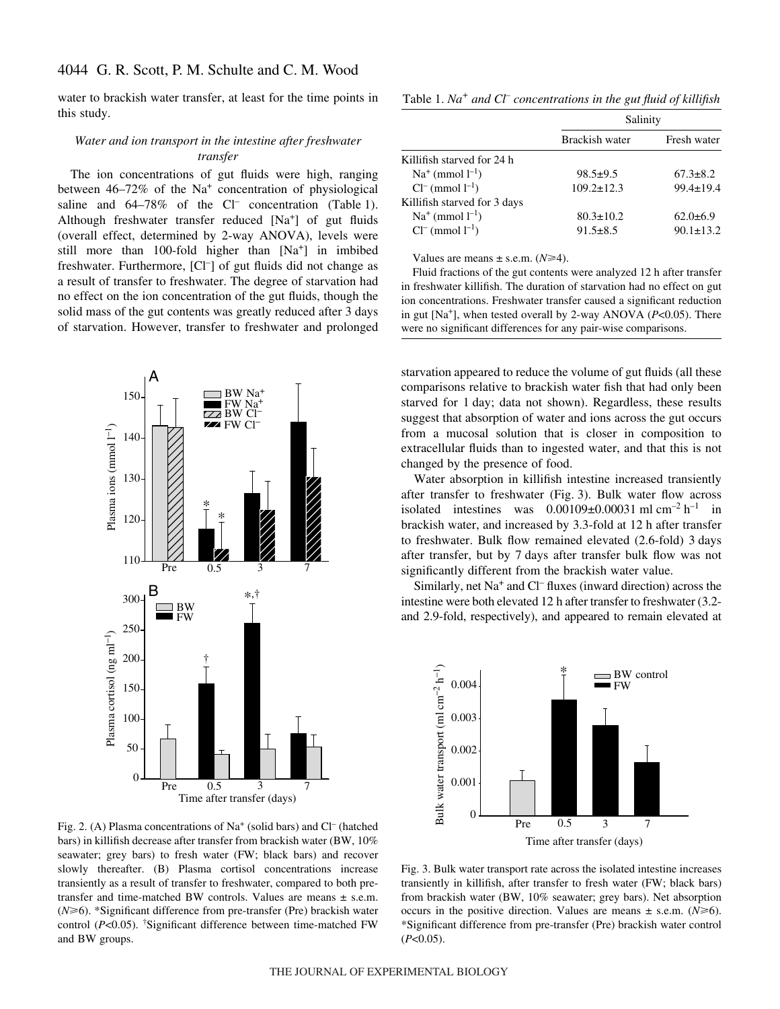water to brackish water transfer, at least for the time points in this study.

# *Water and ion transport in the intestine after freshwater transfer*

The ion concentrations of gut fluids were high, ranging between 46–72% of the Na<sup>+</sup> concentration of physiological saline and  $64-78\%$  of the Cl<sup>-</sup> concentration (Table 1). Although freshwater transfer reduced [Na<sup>+</sup>] of gut fluids (overall effect, determined by 2-way ANOVA), levels were still more than 100-fold higher than [Na+] in imbibed freshwater. Furthermore, [Cl<sup>-</sup>] of gut fluids did not change as a result of transfer to freshwater. The degree of starvation had no effect on the ion concentration of the gut fluids, though the solid mass of the gut contents was greatly reduced after 3 days of starvation. However, transfer to freshwater and prolonged



Fig. 2. (A) Plasma concentrations of Na<sup>+</sup> (solid bars) and Cl<sup>–</sup> (hatched bars) in killifish decrease after transfer from brackish water (BW, 10% seawater; grey bars) to fresh water (FW; black bars) and recover slowly thereafter. (B) Plasma cortisol concentrations increase transiently as a result of transfer to freshwater, compared to both pretransfer and time-matched BW controls. Values are means ± s.e.m.  $(N\geq 6)$ . \*Significant difference from pre-transfer (Pre) brackish water control (*P*<0.05). † Significant difference between time-matched FW and BW groups.

Table 1. *Na<sup>+</sup>* and Cl<sup>–</sup> concentrations in the gut fluid of killifish

|                              | Salinity         |                 |  |
|------------------------------|------------------|-----------------|--|
|                              | Brackish water   | Fresh water     |  |
| Killifish starved for 24 h   |                  |                 |  |
| $Na^+$ (mmol $l^{-1}$ )      | $98.5 \pm 9.5$   | $67.3 \pm 8.2$  |  |
| $Cl^{-}$ (mmol $l^{-1}$ )    | $109.2 \pm 12.3$ | $99.4 \pm 19.4$ |  |
| Killifish starved for 3 days |                  |                 |  |
| $Na^+$ (mmol $l^{-1}$ )      | $80.3 \pm 10.2$  | $62.0 \pm 6.9$  |  |
| $Cl^{-}$ (mmol $l^{-1}$ )    | $91.5 \pm 8.5$   | $90.1 \pm 13.2$ |  |

Values are means  $\pm$  s.e.m. ( $N \geq 4$ ).

Fluid fractions of the gut contents were analyzed 12 h after transfer in freshwater killifish. The duration of starvation had no effect on gut ion concentrations. Freshwater transfer caused a significant reduction in gut [Na+], when tested overall by 2-way ANOVA (*P*<0.05). There were no significant differences for any pair-wise comparisons.

starvation appeared to reduce the volume of gut fluids (all these comparisons relative to brackish water fish that had only been starved for 1 day; data not shown). Regardless, these results suggest that absorption of water and ions across the gut occurs from a mucosal solution that is closer in composition to extracellular fluids than to ingested water, and that this is not changed by the presence of food.

Water absorption in killifish intestine increased transiently after transfer to freshwater (Fig. 3). Bulk water flow across isolated intestines was  $0.00109\pm0.00031$  ml cm<sup>-2</sup> h<sup>-1</sup> in brackish water, and increased by 3.3-fold at 12 h after transfer to freshwater. Bulk flow remained elevated (2.6-fold) 3 days after transfer, but by 7 days after transfer bulk flow was not significantly different from the brackish water value.

Similarly, net  $Na^+$  and  $Cl^-$  fluxes (inward direction) across the intestine were both elevated 12 h after transfer to freshwater (3.2and 2.9-fold, respectively), and appeared to remain elevated at



Fig. 3. Bulk water transport rate across the isolated intestine increases transiently in killifish, after transfer to fresh water (FW; black bars) from brackish water (BW, 10% seawater; grey bars). Net absorption occurs in the positive direction. Values are means  $\pm$  s.e.m. ( $N \ge 6$ ). \*Significant difference from pre-transfer (Pre) brackish water control (*P*<0.05).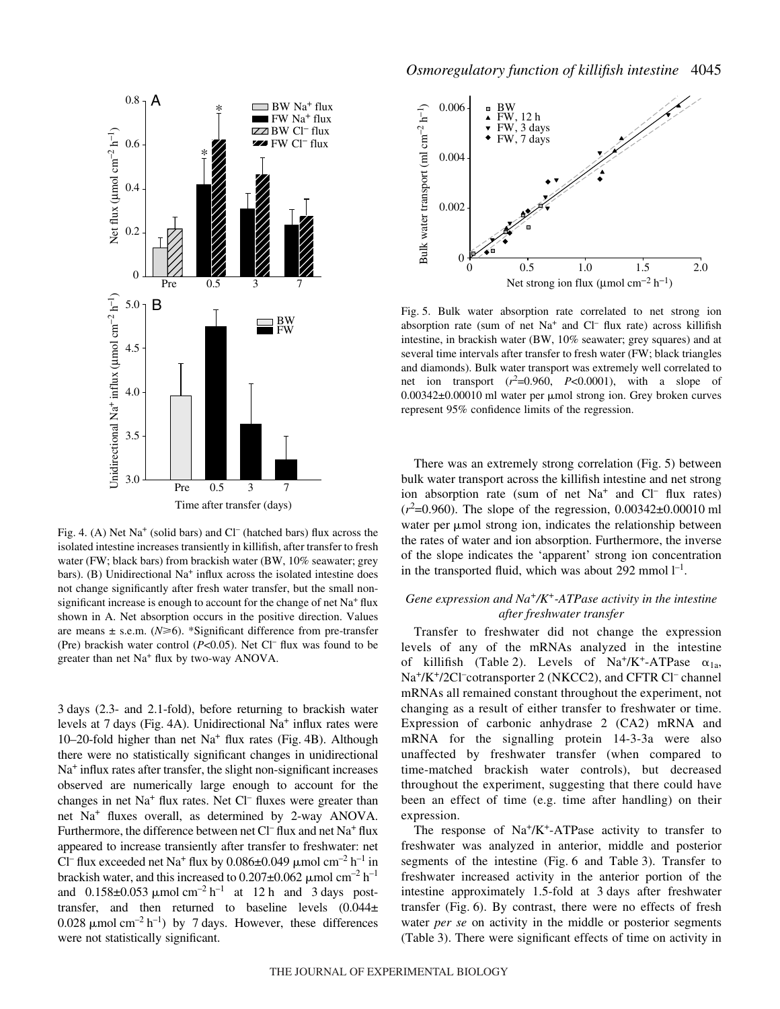

Fig. 4. (A) Net  $Na^+$  (solid bars) and Cl<sup>–</sup> (hatched bars) flux across the isolated intestine increases transiently in killifish, after transfer to fresh water (FW; black bars) from brackish water (BW, 10% seawater; grey bars). (B) Unidirectional  $Na<sup>+</sup>$  influx across the isolated intestine does not change significantly after fresh water transfer, but the small nonsignificant increase is enough to account for the change of net  $Na<sup>+</sup> flux$ shown in A. Net absorption occurs in the positive direction. Values are means  $\pm$  s.e.m. ( $N \ge 6$ ). \*Significant difference from pre-transfer (Pre) brackish water control  $(P<0.05)$ . Net Cl<sup>-</sup> flux was found to be greater than net Na<sup>+</sup> flux by two-way ANOVA.

3·days (2.3- and 2.1-fold), before returning to brackish water levels at 7 days (Fig. 4A). Unidirectional Na<sup>+</sup> influx rates were 10–20-fold higher than net  $Na<sup>+</sup>$  flux rates (Fig. 4B). Although there were no statistically significant changes in unidirectional  $Na<sup>+</sup>$  influx rates after transfer, the slight non-significant increases observed are numerically large enough to account for the changes in net  $Na<sup>+</sup>$  flux rates. Net Cl<sup>–</sup> fluxes were greater than net Na+ fluxes overall, as determined by 2-way ANOVA. Furthermore, the difference between net  $Cl^-$  flux and net Na<sup>+</sup> flux appeared to increase transiently after transfer to freshwater: net Cl<sup>–</sup> flux exceeded net Na<sup>+</sup> flux by 0.086 $\pm$ 0.049 µmol cm<sup>-2</sup> h<sup>-1</sup> in brackish water, and this increased to  $0.207 \pm 0.062 \mu$  mol cm<sup>-2</sup> h<sup>-1</sup> and  $0.158\pm0.053 \mu$  mol cm<sup>-2</sup> h<sup>-1</sup> at 12 h and 3 days posttransfer, and then returned to baseline levels (0.044± 0.028  $\mu$ mol cm<sup>-2</sup> h<sup>-1</sup>) by 7 days. However, these differences were not statistically significant.



Fig. 5. Bulk water absorption rate correlated to net strong ion absorption rate (sum of net  $Na<sup>+</sup>$  and  $Cl<sup>-</sup>$  flux rate) across killifish intestine, in brackish water (BW, 10% seawater; grey squares) and at several time intervals after transfer to fresh water (FW; black triangles and diamonds). Bulk water transport was extremely well correlated to net ion transport  $(r^2=0.960, P<0.0001)$ , with a slope of 0.00342±0.00010 ml water per µmol strong ion. Grey broken curves represent 95% confidence limits of the regression.

There was an extremely strong correlation (Fig. 5) between bulk water transport across the killifish intestine and net strong ion absorption rate (sum of net  $Na<sup>+</sup>$  and  $Cl<sup>-</sup>$  flux rates)  $(r^2=0.960)$ . The slope of the regression,  $0.00342\pm0.00010$  ml water per  $\mu$ mol strong ion, indicates the relationship between the rates of water and ion absorption. Furthermore, the inverse of the slope indicates the 'apparent' strong ion concentration in the transported fluid, which was about 292 mmol  $l^{-1}$ .

# *Gene expression and Na+/K+-ATPase activity in the intestine after freshwater transfer*

Transfer to freshwater did not change the expression levels of any of the mRNAs analyzed in the intestine of killifish (Table 2). Levels of Na<sup>+</sup>/K<sup>+</sup>-ATPase  $\alpha_{1a}$ , Na<sup>+</sup>/K<sup>+</sup>/2Cl<sup>-</sup>cotransporter 2 (NKCC2), and CFTR Cl<sup>-</sup> channel mRNAs all remained constant throughout the experiment, not changing as a result of either transfer to freshwater or time. Expression of carbonic anhydrase 2 (CA2) mRNA and mRNA for the signalling protein 14-3-3a were also unaffected by freshwater transfer (when compared to time-matched brackish water controls), but decreased throughout the experiment, suggesting that there could have been an effect of time (e.g. time after handling) on their expression.

The response of  $Na^+/K^+$ -ATPase activity to transfer to freshwater was analyzed in anterior, middle and posterior segments of the intestine (Fig. 6 and Table 3). Transfer to freshwater increased activity in the anterior portion of the intestine approximately 1.5-fold at 3 days after freshwater transfer (Fig. 6). By contrast, there were no effects of fresh water *per se* on activity in the middle or posterior segments (Table 3). There were significant effects of time on activity in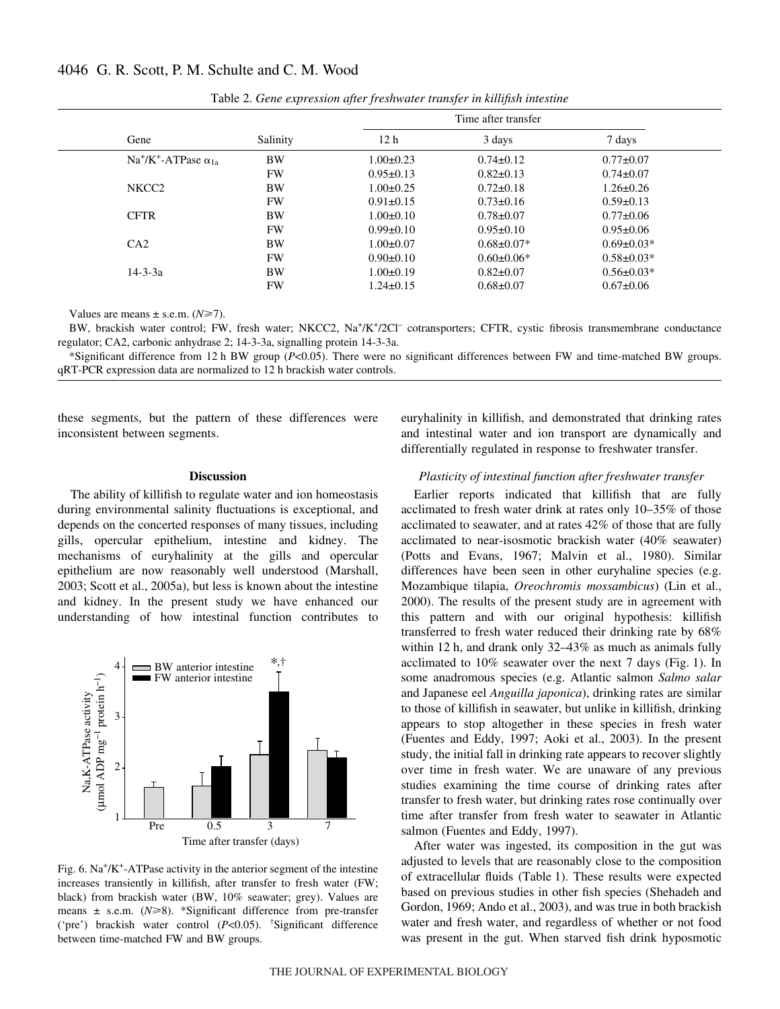|                                  |           |                 | Time after transfer |                  |
|----------------------------------|-----------|-----------------|---------------------|------------------|
| Gene                             | Salinity  | 12 <sub>h</sub> | 3 days              | 7 days           |
| $Na^+/K^+$ -ATPase $\alpha_{1a}$ | <b>BW</b> | $1.00 \pm 0.23$ | $0.74 \pm 0.12$     | $0.77 \pm 0.07$  |
|                                  | <b>FW</b> | $0.95 \pm 0.13$ | $0.82 \pm 0.13$     | $0.74 \pm 0.07$  |
| NKCC <sub>2</sub>                | <b>BW</b> | $1.00 \pm 0.25$ | $0.72 \pm 0.18$     | $1.26 \pm 0.26$  |
|                                  | <b>FW</b> | $0.91 \pm 0.15$ | $0.73 \pm 0.16$     | $0.59 \pm 0.13$  |
| <b>CFTR</b>                      | <b>BW</b> | $1.00 \pm 0.10$ | $0.78 \pm 0.07$     | $0.77 \pm 0.06$  |
|                                  | <b>FW</b> | $0.99 \pm 0.10$ | $0.95 \pm 0.10$     | $0.95 \pm 0.06$  |
| CA2                              | <b>BW</b> | $1.00 \pm 0.07$ | $0.68 \pm 0.07*$    | $0.69 \pm 0.03*$ |
|                                  | <b>FW</b> | $0.90 \pm 0.10$ | $0.60 \pm 0.06*$    | $0.58 \pm 0.03*$ |
| $14 - 3 - 3a$                    | <b>BW</b> | $1.00 \pm 0.19$ | $0.82 \pm 0.07$     | $0.56 \pm 0.03*$ |
|                                  | FW        | $1.24 \pm 0.15$ | $0.68 \pm 0.07$     | $0.67 \pm 0.06$  |

Table 2. *Gene expression after freshwater transfer in killifish intestine* 

Values are means  $\pm$  s.e.m. ( $N \ge 7$ ).

BW, brackish water control; FW, fresh water; NKCC2, Na<sup>+</sup>/K<sup>+</sup>/2Cl<sup>-</sup> cotransporters; CFTR, cystic fibrosis transmembrane conductance regulator; CA2, carbonic anhydrase 2; 14-3-3a, signalling protein 14-3-3a.

\*Significant difference from 12·h BW group (*P*<0.05). There were no significant differences between FW and time-matched BW groups. qRT-PCR expression data are normalized to 12 h brackish water controls.

these segments, but the pattern of these differences were inconsistent between segments.

#### **Discussion**

The ability of killifish to regulate water and ion homeostasis during environmental salinity fluctuations is exceptional, and depends on the concerted responses of many tissues, including gills, opercular epithelium, intestine and kidney. The mechanisms of euryhalinity at the gills and opercular epithelium are now reasonably well understood (Marshall, 2003; Scott et al., 2005a), but less is known about the intestine and kidney. In the present study we have enhanced our understanding of how intestinal function contributes to



Fig. 6.  $Na^{+}/K^{+}$ -ATPase activity in the anterior segment of the intestine increases transiently in killifish, after transfer to fresh water (FW; black) from brackish water (BW, 10% seawater; grey). Values are means  $\pm$  s.e.m. ( $N \ge 8$ ). \*Significant difference from pre-transfer ('pre') brackish water control (*P*<0.05). † Significant difference between time-matched FW and BW groups.

euryhalinity in killifish, and demonstrated that drinking rates and intestinal water and ion transport are dynamically and differentially regulated in response to freshwater transfer.

### *Plasticity of intestinal function after freshwater transfer*

Earlier reports indicated that killifish that are fully acclimated to fresh water drink at rates only 10–35% of those acclimated to seawater, and at rates 42% of those that are fully acclimated to near-isosmotic brackish water (40% seawater) (Potts and Evans, 1967; Malvin et al., 1980). Similar differences have been seen in other euryhaline species (e.g. Mozambique tilapia, *Oreochromis mossambicus*) (Lin et al., 2000). The results of the present study are in agreement with this pattern and with our original hypothesis: killifish transferred to fresh water reduced their drinking rate by 68% within 12 h, and drank only  $32-43\%$  as much as animals fully acclimated to  $10\%$  seawater over the next 7 days (Fig. 1). In some anadromous species (e.g. Atlantic salmon *Salmo salar* and Japanese eel *Anguilla japonica*), drinking rates are similar to those of killifish in seawater, but unlike in killifish, drinking appears to stop altogether in these species in fresh water (Fuentes and Eddy, 1997; Aoki et al., 2003). In the present study, the initial fall in drinking rate appears to recover slightly over time in fresh water. We are unaware of any previous studies examining the time course of drinking rates after transfer to fresh water, but drinking rates rose continually over time after transfer from fresh water to seawater in Atlantic salmon (Fuentes and Eddy, 1997).

After water was ingested, its composition in the gut was adjusted to levels that are reasonably close to the composition of extracellular fluids (Table·1). These results were expected based on previous studies in other fish species (Shehadeh and Gordon, 1969; Ando et al., 2003), and was true in both brackish water and fresh water, and regardless of whether or not food was present in the gut. When starved fish drink hyposmotic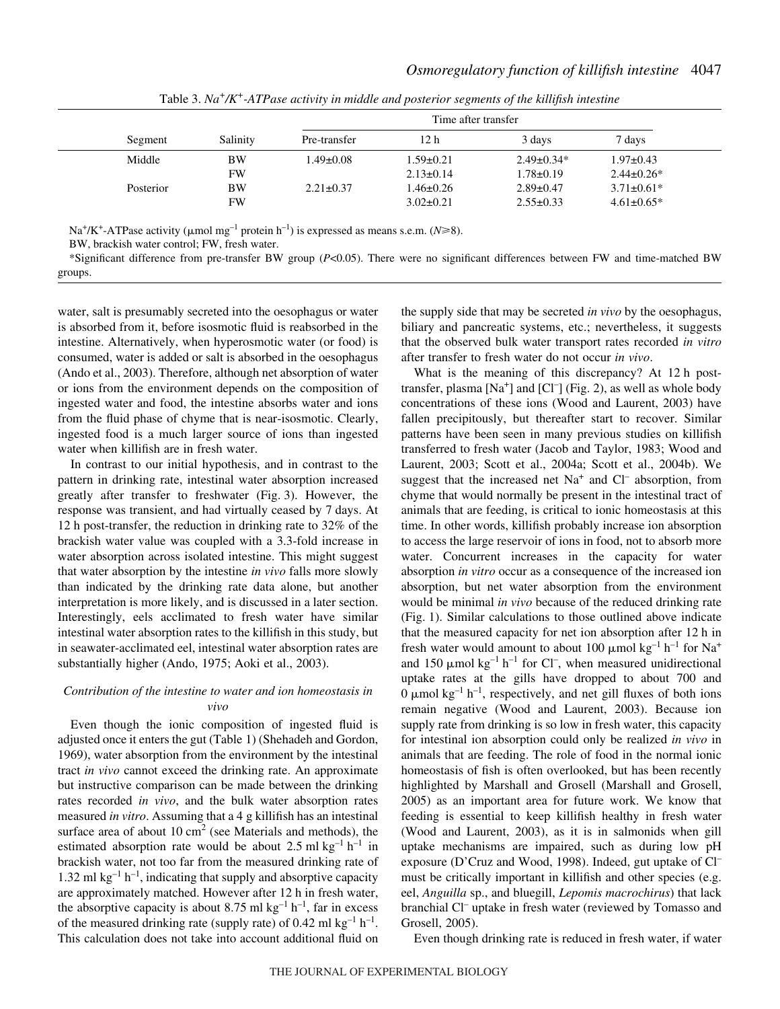|           |           | Time after transfer |                 |                  |                   |
|-----------|-----------|---------------------|-----------------|------------------|-------------------|
| Segment   | Salinity  | Pre-transfer        | 12 h            | 3 days           | 7 days            |
| Middle    | BW        | 1.49±0.08           | $1.59 \pm 0.21$ | $2.49 \pm 0.34*$ | $1.97 \pm 0.43$   |
|           | <b>FW</b> |                     | $2.13 \pm 0.14$ | $1.78 \pm 0.19$  | $2.44 \pm 0.26^*$ |
| Posterior | BW        | $2.21 \pm 0.37$     | $1.46 \pm 0.26$ | $2.89 \pm 0.47$  | $3.71 \pm 0.61^*$ |
|           | FW        |                     | $3.02 \pm 0.21$ | $2.55 \pm 0.33$  | $4.61 \pm 0.65*$  |

Table 3. *Na<sup>+</sup>/K<sup>+</sup>-ATPase activity in middle and posterior segments of the killifish intestine* 

Na<sup>+</sup>/K<sup>+</sup>-ATPase activity ( $\mu$ mol mg<sup>-1</sup> protein h<sup>-1</sup>) is expressed as means s.e.m. (*N*≥8).

BW, brackish water control; FW, fresh water.

\*Significant difference from pre-transfer BW group (*P*<0.05). There were no significant differences between FW and time-matched BW groups.

water, salt is presumably secreted into the oesophagus or water is absorbed from it, before isosmotic fluid is reabsorbed in the intestine. Alternatively, when hyperosmotic water (or food) is consumed, water is added or salt is absorbed in the oesophagus (Ando et al., 2003). Therefore, although net absorption of water or ions from the environment depends on the composition of ingested water and food, the intestine absorbs water and ions from the fluid phase of chyme that is near-isosmotic. Clearly, ingested food is a much larger source of ions than ingested water when killifish are in fresh water.

In contrast to our initial hypothesis, and in contrast to the pattern in drinking rate, intestinal water absorption increased greatly after transfer to freshwater (Fig. 3). However, the response was transient, and had virtually ceased by 7 days. At 12 h post-transfer, the reduction in drinking rate to  $32\%$  of the brackish water value was coupled with a 3.3-fold increase in water absorption across isolated intestine. This might suggest that water absorption by the intestine *in vivo* falls more slowly than indicated by the drinking rate data alone, but another interpretation is more likely, and is discussed in a later section. Interestingly, eels acclimated to fresh water have similar intestinal water absorption rates to the killifish in this study, but in seawater-acclimated eel, intestinal water absorption rates are substantially higher (Ando, 1975; Aoki et al., 2003).

# *Contribution of the intestine to water and ion homeostasis in vivo*

Even though the ionic composition of ingested fluid is adjusted once it enters the gut (Table 1) (Shehadeh and Gordon, 1969), water absorption from the environment by the intestinal tract *in vivo* cannot exceed the drinking rate. An approximate but instructive comparison can be made between the drinking rates recorded *in vivo*, and the bulk water absorption rates measured *in vitro*. Assuming that a 4 g killifish has an intestinal surface area of about 10  $\text{cm}^2$  (see Materials and methods), the estimated absorption rate would be about 2.5 ml  $kg^{-1} h^{-1}$  in brackish water, not too far from the measured drinking rate of 1.32 ml  $kg^{-1}h^{-1}$ , indicating that supply and absorptive capacity are approximately matched. However after 12 h in fresh water, the absorptive capacity is about 8.75 ml  $kg^{-1}h^{-1}$ , far in excess of the measured drinking rate (supply rate) of 0.42 ml  $kg^{-1}h^{-1}$ . This calculation does not take into account additional fluid on the supply side that may be secreted *in vivo* by the oesophagus, biliary and pancreatic systems, etc.; nevertheless, it suggests that the observed bulk water transport rates recorded *in vitro* after transfer to fresh water do not occur *in vivo*.

What is the meaning of this discrepancy? At  $12 \text{ h}$  posttransfer, plasma [Na<sup>+</sup>] and [Cl<sup>-</sup>] (Fig. 2), as well as whole body concentrations of these ions (Wood and Laurent, 2003) have fallen precipitously, but thereafter start to recover. Similar patterns have been seen in many previous studies on killifish transferred to fresh water (Jacob and Taylor, 1983; Wood and Laurent, 2003; Scott et al., 2004a; Scott et al., 2004b). We suggest that the increased net  $Na<sup>+</sup>$  and  $Cl<sup>-</sup>$  absorption, from chyme that would normally be present in the intestinal tract of animals that are feeding, is critical to ionic homeostasis at this time. In other words, killifish probably increase ion absorption to access the large reservoir of ions in food, not to absorb more water. Concurrent increases in the capacity for water absorption *in vitro* occur as a consequence of the increased ion absorption, but net water absorption from the environment would be minimal *in vivo* because of the reduced drinking rate (Fig. 1). Similar calculations to those outlined above indicate that the measured capacity for net ion absorption after 12 h in fresh water would amount to about 100  $\mu$ mol kg<sup>-1</sup> h<sup>-1</sup> for Na<sup>+</sup> and 150  $\mu$ mol kg<sup>-1</sup> h<sup>-1</sup> for Cl<sup>-</sup>, when measured unidirectional uptake rates at the gills have dropped to about 700 and 0  $\mu$ mol kg<sup>-1</sup> h<sup>-1</sup>, respectively, and net gill fluxes of both ions remain negative (Wood and Laurent, 2003). Because ion supply rate from drinking is so low in fresh water, this capacity for intestinal ion absorption could only be realized *in vivo* in animals that are feeding. The role of food in the normal ionic homeostasis of fish is often overlooked, but has been recently highlighted by Marshall and Grosell (Marshall and Grosell, 2005) as an important area for future work. We know that feeding is essential to keep killifish healthy in fresh water (Wood and Laurent, 2003), as it is in salmonids when gill uptake mechanisms are impaired, such as during low pH exposure (D'Cruz and Wood, 1998). Indeed, gut uptake of Cl– must be critically important in killifish and other species (e.g. eel, *Anguilla* sp., and bluegill, *Lepomis macrochirus*) that lack branchial Cl– uptake in fresh water (reviewed by Tomasso and Grosell, 2005).

Even though drinking rate is reduced in fresh water, if water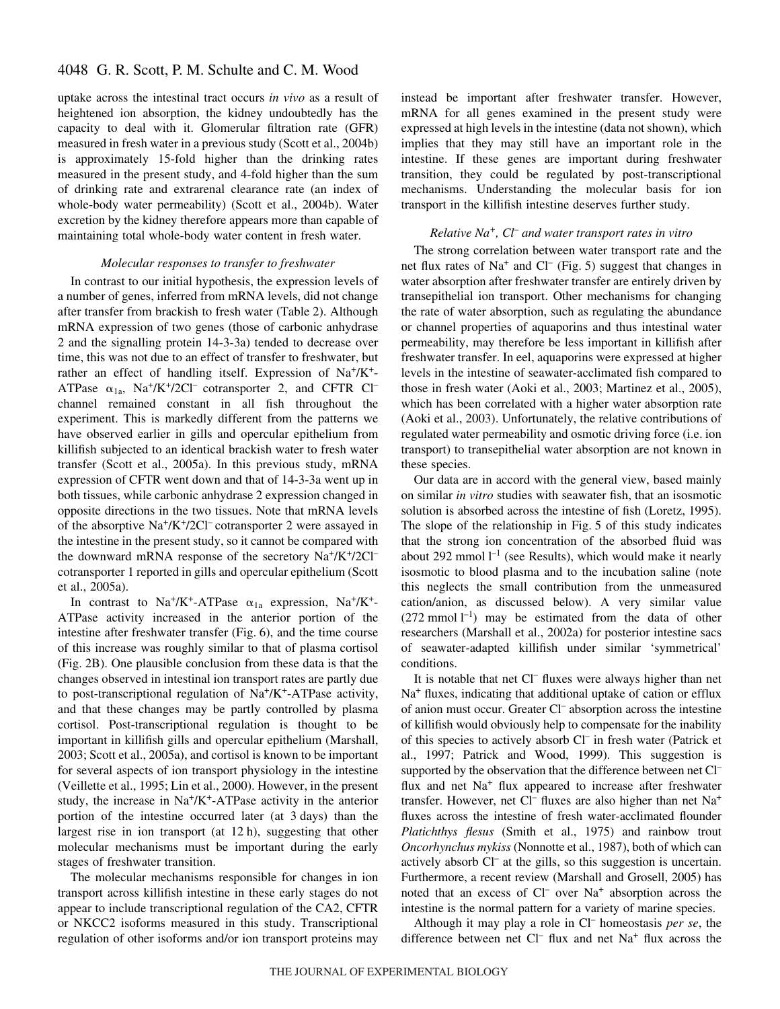uptake across the intestinal tract occurs *in vivo* as a result of heightened ion absorption, the kidney undoubtedly has the capacity to deal with it. Glomerular filtration rate (GFR) measured in fresh water in a previous study (Scott et al., 2004b) is approximately 15-fold higher than the drinking rates measured in the present study, and 4-fold higher than the sum of drinking rate and extrarenal clearance rate (an index of whole-body water permeability) (Scott et al., 2004b). Water excretion by the kidney therefore appears more than capable of maintaining total whole-body water content in fresh water.

### *Molecular responses to transfer to freshwater*

In contrast to our initial hypothesis, the expression levels of a number of genes, inferred from mRNA levels, did not change after transfer from brackish to fresh water (Table 2). Although mRNA expression of two genes (those of carbonic anhydrase 2 and the signalling protein 14-3-3a) tended to decrease over time, this was not due to an effect of transfer to freshwater, but rather an effect of handling itself. Expression of  $Na^+/K^+$ -ATPase  $\alpha_{1a}$ , Na<sup>+</sup>/K<sup>+</sup>/2Cl<sup>–</sup> cotransporter 2, and CFTR Cl<sup>–</sup> channel remained constant in all fish throughout the experiment. This is markedly different from the patterns we have observed earlier in gills and opercular epithelium from killifish subjected to an identical brackish water to fresh water transfer (Scott et al., 2005a). In this previous study, mRNA expression of CFTR went down and that of 14-3-3a went up in both tissues, while carbonic anhydrase 2 expression changed in opposite directions in the two tissues. Note that mRNA levels of the absorptive  $Na^+/K^+/2Cl^-$  cotransporter 2 were assayed in the intestine in the present study, so it cannot be compared with the downward mRNA response of the secretory  $Na^+/K^+/2Cl^$ cotransporter 1 reported in gills and opercular epithelium (Scott et al., 2005a).

In contrast to Na<sup>+</sup>/K<sup>+</sup>-ATPase  $\alpha_{1a}$  expression, Na<sup>+</sup>/K<sup>+</sup>-ATPase activity increased in the anterior portion of the intestine after freshwater transfer (Fig. 6), and the time course of this increase was roughly similar to that of plasma cortisol (Fig. 2B). One plausible conclusion from these data is that the changes observed in intestinal ion transport rates are partly due to post-transcriptional regulation of Na+/K+-ATPase activity, and that these changes may be partly controlled by plasma cortisol. Post-transcriptional regulation is thought to be important in killifish gills and opercular epithelium (Marshall, 2003; Scott et al., 2005a), and cortisol is known to be important for several aspects of ion transport physiology in the intestine (Veillette et al., 1995; Lin et al., 2000). However, in the present study, the increase in  $Na<sup>+</sup>/K<sup>+</sup>-ATP$ ase activity in the anterior portion of the intestine occurred later (at 3 days) than the largest rise in ion transport (at  $12 h$ ), suggesting that other molecular mechanisms must be important during the early stages of freshwater transition.

The molecular mechanisms responsible for changes in ion transport across killifish intestine in these early stages do not appear to include transcriptional regulation of the CA2, CFTR or NKCC2 isoforms measured in this study. Transcriptional regulation of other isoforms and/or ion transport proteins may instead be important after freshwater transfer. However, mRNA for all genes examined in the present study were expressed at high levels in the intestine (data not shown), which implies that they may still have an important role in the intestine. If these genes are important during freshwater transition, they could be regulated by post-transcriptional mechanisms. Understanding the molecular basis for ion transport in the killifish intestine deserves further study.

### *Relative Na+, Cl– and water transport rates in vitro*

The strong correlation between water transport rate and the net flux rates of  $Na^+$  and  $Cl^-$  (Fig. 5) suggest that changes in water absorption after freshwater transfer are entirely driven by transepithelial ion transport. Other mechanisms for changing the rate of water absorption, such as regulating the abundance or channel properties of aquaporins and thus intestinal water permeability, may therefore be less important in killifish after freshwater transfer. In eel, aquaporins were expressed at higher levels in the intestine of seawater-acclimated fish compared to those in fresh water (Aoki et al., 2003; Martinez et al., 2005), which has been correlated with a higher water absorption rate (Aoki et al., 2003). Unfortunately, the relative contributions of regulated water permeability and osmotic driving force (i.e. ion transport) to transepithelial water absorption are not known in these species.

Our data are in accord with the general view, based mainly on similar *in vitro* studies with seawater fish, that an isosmotic solution is absorbed across the intestine of fish (Loretz, 1995). The slope of the relationship in Fig. 5 of this study indicates that the strong ion concentration of the absorbed fluid was about 292 mmol  $l^{-1}$  (see Results), which would make it nearly isosmotic to blood plasma and to the incubation saline (note this neglects the small contribution from the unmeasured cation/anion, as discussed below). A very similar value  $(272 \text{ mmol } l^{-1})$  may be estimated from the data of other researchers (Marshall et al., 2002a) for posterior intestine sacs of seawater-adapted killifish under similar 'symmetrical' conditions.

It is notable that net Cl– fluxes were always higher than net Na<sup>+</sup> fluxes, indicating that additional uptake of cation or efflux of anion must occur. Greater Cl– absorption across the intestine of killifish would obviously help to compensate for the inability of this species to actively absorb Cl– in fresh water (Patrick et al., 1997; Patrick and Wood, 1999). This suggestion is supported by the observation that the difference between net Cl– flux and net  $Na<sup>+</sup>$  flux appeared to increase after freshwater transfer. However, net Cl<sup>–</sup> fluxes are also higher than net  $Na<sup>+</sup>$ fluxes across the intestine of fresh water-acclimated flounder *Platichthys flesus* (Smith et al., 1975) and rainbow trout *Oncorhynchus mykiss* (Nonnotte et al., 1987), both of which can actively absorb Cl– at the gills, so this suggestion is uncertain. Furthermore, a recent review (Marshall and Grosell, 2005) has noted that an excess of Cl<sup>-</sup> over Na<sup>+</sup> absorption across the intestine is the normal pattern for a variety of marine species.

Although it may play a role in Cl– homeostasis *per se*, the difference between net Cl<sup>-</sup> flux and net Na<sup>+</sup> flux across the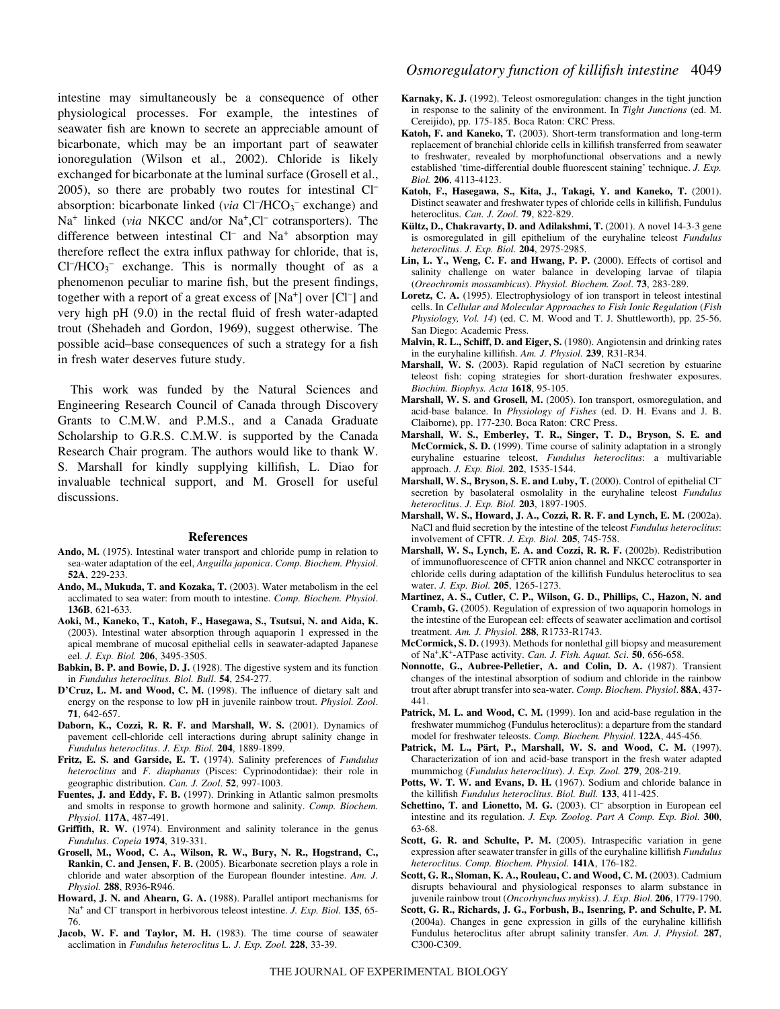intestine may simultaneously be a consequence of other physiological processes. For example, the intestines of seawater fish are known to secrete an appreciable amount of bicarbonate, which may be an important part of seawater ionoregulation (Wilson et al., 2002). Chloride is likely exchanged for bicarbonate at the luminal surface (Grosell et al., 2005), so there are probably two routes for intestinal Cl– absorption: bicarbonate linked (via Cl<sup>-</sup>/HCO<sub>3</sub><sup>-</sup> exchange) and Na<sup>+</sup> linked (*via* NKCC and/or Na<sup>+</sup>,Cl<sup>–</sup> cotransporters). The difference between intestinal  $Cl^-$  and  $Na^+$  absorption may therefore reflect the extra influx pathway for chloride, that is,  $Cl^-/HCO_3^-$  exchange. This is normally thought of as a phenomenon peculiar to marine fish, but the present findings, together with a report of a great excess of [Na<sup>+</sup>] over [Cl<sup>-</sup>] and very high pH (9.0) in the rectal fluid of fresh water-adapted trout (Shehadeh and Gordon, 1969), suggest otherwise. The possible acid–base consequences of such a strategy for a fish in fresh water deserves future study.

This work was funded by the Natural Sciences and Engineering Research Council of Canada through Discovery Grants to C.M.W. and P.M.S., and a Canada Graduate Scholarship to G.R.S. C.M.W. is supported by the Canada Research Chair program. The authors would like to thank W. S. Marshall for kindly supplying killifish, L. Diao for invaluable technical support, and M. Grosell for useful discussions.

#### **References**

- **Ando, M.** (1975). Intestinal water transport and chloride pump in relation to sea-water adaptation of the eel, *Anguilla japonica*. *Comp. Biochem. Physiol*. **52A**, 229-233.
- **Ando, M., Mukuda, T. and Kozaka, T.** (2003). Water metabolism in the eel acclimated to sea water: from mouth to intestine. *Comp. Biochem. Physiol*. **136B**, 621-633.
- **Aoki, M., Kaneko, T., Katoh, F., Hasegawa, S., Tsutsui, N. and Aida, K.** (2003). Intestinal water absorption through aquaporin 1 expressed in the apical membrane of mucosal epithelial cells in seawater-adapted Japanese eel. *J. Exp. Biol.* **206**, 3495-3505.
- **Babkin, B. P. and Bowie, D. J.** (1928). The digestive system and its function in *Fundulus heteroclitus*. *Biol. Bull*. **54**, 254-277.
- **D'Cruz, L. M. and Wood, C. M.** (1998). The influence of dietary salt and energy on the response to low pH in juvenile rainbow trout. *Physiol. Zool*. **71**, 642-657.
- **Daborn, K., Cozzi, R. R. F. and Marshall, W. S.** (2001). Dynamics of pavement cell-chloride cell interactions during abrupt salinity change in *Fundulus heteroclitus*. *J. Exp. Biol.* **204**, 1889-1899.
- **Fritz, E. S. and Garside, E. T.** (1974). Salinity preferences of *Fundulus heteroclitus* and *F. diaphanus* (Pisces: Cyprinodontidae): their role in geographic distribution. *Can. J. Zool*. **52**, 997-1003.
- **Fuentes, J. and Eddy, F. B.** (1997). Drinking in Atlantic salmon presmolts and smolts in response to growth hormone and salinity. *Comp. Biochem. Physiol*. **117A**, 487-491.
- **Griffith, R. W.** (1974). Environment and salinity tolerance in the genus *Fundulus*. *Copeia* **1974**, 319-331.
- **Grosell, M., Wood, C. A., Wilson, R. W., Bury, N. R., Hogstrand, C., Rankin, C. and Jensen, F. B.** (2005). Bicarbonate secretion plays a role in chloride and water absorption of the European flounder intestine. *Am. J. Physiol.* **288**, R936-R946.
- **Howard, J. N. and Ahearn, G. A.** (1988). Parallel antiport mechanisms for Na+ and Cl– transport in herbivorous teleost intestine. *J. Exp. Biol.* **135**, 65- 76.
- **Jacob, W. F. and Taylor, M. H.** (1983). The time course of seawater acclimation in *Fundulus heteroclitus* L. *J. Exp. Zool.* **228**, 33-39.
- **Karnaky, K. J.** (1992). Teleost osmoregulation: changes in the tight junction in response to the salinity of the environment. In *Tight Junctions* (ed. M. Cereijido), pp. 175-185. Boca Raton: CRC Press.
- **Katoh, F. and Kaneko, T.** (2003). Short-term transformation and long-term replacement of branchial chloride cells in killifish transferred from seawater to freshwater, revealed by morphofunctional observations and a newly established 'time-differential double fluorescent staining' technique. *J. Exp. Biol.* **206**, 4113-4123.
- **Katoh, F., Hasegawa, S., Kita, J., Takagi, Y. and Kaneko, T.** (2001). Distinct seawater and freshwater types of chloride cells in killifish, Fundulus heteroclitus. *Can. J. Zool*. **79**, 822-829.
- **Kültz, D., Chakravarty, D. and Adilakshmi, T.** (2001). A novel 14-3-3 gene is osmoregulated in gill epithelium of the euryhaline teleost *Fundulus heteroclitus*. *J. Exp. Biol.* **204**, 2975-2985.
- **Lin, L. Y., Weng, C. F. and Hwang, P. P.** (2000). Effects of cortisol and salinity challenge on water balance in developing larvae of tilapia (*Oreochromis mossambicus*). *Physiol. Biochem. Zool*. **73**, 283-289.
- **Loretz, C. A.** (1995). Electrophysiology of ion transport in teleost intestinal cells. In *Cellular and Molecular Approaches to Fish Ionic Regulation* (*Fish Physiology, Vol. 14*) (ed. C. M. Wood and T. J. Shuttleworth), pp. 25-56. San Diego: Academic Press.
- **Malvin, R. L., Schiff, D. and Eiger, S.** (1980). Angiotensin and drinking rates in the euryhaline killifish. *Am. J. Physiol.* **239**, R31-R34.
- **Marshall, W. S.** (2003). Rapid regulation of NaCl secretion by estuarine teleost fish: coping strategies for short-duration freshwater exposures. *Biochim. Biophys. Acta* **1618**, 95-105.
- **Marshall, W. S. and Grosell, M.** (2005). Ion transport, osmoregulation, and acid-base balance. In *Physiology of Fishes* (ed. D. H. Evans and J. B. Claiborne), pp. 177-230. Boca Raton: CRC Press.
- **Marshall, W. S., Emberley, T. R., Singer, T. D., Bryson, S. E. and McCormick, S. D.** (1999). Time course of salinity adaptation in a strongly euryhaline estuarine teleost, *Fundulus heteroclitus*: a multivariable approach. *J. Exp. Biol.* **202**, 1535-1544.
- **Marshall, W. S., Bryson, S. E. and Luby, T.** (2000). Control of epithelial Cl– secretion by basolateral osmolality in the euryhaline teleost *Fundulus heteroclitus*. *J. Exp. Biol.* **203**, 1897-1905.
- **Marshall, W. S., Howard, J. A., Cozzi, R. R. F. and Lynch, E. M.** (2002a). NaCl and fluid secretion by the intestine of the teleost *Fundulus heteroclitus*: involvement of CFTR. *J. Exp. Biol.* **205**, 745-758.
- **Marshall, W. S., Lynch, E. A. and Cozzi, R. R. F.** (2002b). Redistribution of immunofluorescence of CFTR anion channel and NKCC cotransporter in chloride cells during adaptation of the killifish Fundulus heteroclitus to sea water. *J. Exp. Biol.* **205**, 1265-1273.
- **Martinez, A. S., Cutler, C. P., Wilson, G. D., Phillips, C., Hazon, N. and Cramb, G.** (2005). Regulation of expression of two aquaporin homologs in the intestine of the European eel: effects of seawater acclimation and cortisol treatment. *Am. J. Physiol.* **288**, R1733-R1743.
- **McCormick, S. D.** (1993). Methods for nonlethal gill biopsy and measurement of Na+,K+-ATPase activity. *Can. J. Fish. Aquat. Sci*. **50**, 656-658.
- **Nonnotte, G., Aubree-Pelletier, A. and Colin, D. A.** (1987). Transient changes of the intestinal absorption of sodium and chloride in the rainbow trout after abrupt transfer into sea-water. *Comp. Biochem. Physiol*. **88A**, 437- 441.
- Patrick, M. L. and Wood, C. M. (1999). Ion and acid-base regulation in the freshwater mummichog (Fundulus heteroclitus): a departure from the standard model for freshwater teleosts. *Comp. Biochem. Physiol*. **122A**, 445-456.
- **Patrick, M. L., Pärt, P., Marshall, W. S. and Wood, C. M.** (1997). Characterization of ion and acid-base transport in the fresh water adapted mummichog (*Fundulus heteroclitus*). *J. Exp. Zool.* **279**, 208-219.
- Potts, W. T. W. and Evans, D. H. (1967). Sodium and chloride balance in the killifish *Fundulus heteroclitus*. *Biol. Bull.* **133**, 411-425.
- Schettino, T. and Lionetto, M. G. (2003). Cl<sup>-</sup> absorption in European eel intestine and its regulation. *J. Exp. Zoolog. Part A Comp. Exp. Biol.* **300**, 63-68.
- Scott, G. R. and Schulte, P. M. (2005). Intraspecific variation in gene expression after seawater transfer in gills of the euryhaline killifish *Fundulus heteroclitus*. *Comp. Biochem. Physiol.* **141A**, 176-182.
- **Scott, G. R., Sloman, K. A., Rouleau, C. and Wood, C. M.** (2003). Cadmium disrupts behavioural and physiological responses to alarm substance in juvenile rainbow trout (*Oncorhynchus mykiss*). *J. Exp. Biol.* **206**, 1779-1790.
- **Scott, G. R., Richards, J. G., Forbush, B., Isenring, P. and Schulte, P. M.** (2004a). Changes in gene expression in gills of the euryhaline killifish Fundulus heteroclitus after abrupt salinity transfer. *Am. J. Physiol.* **287**, C300-C309.